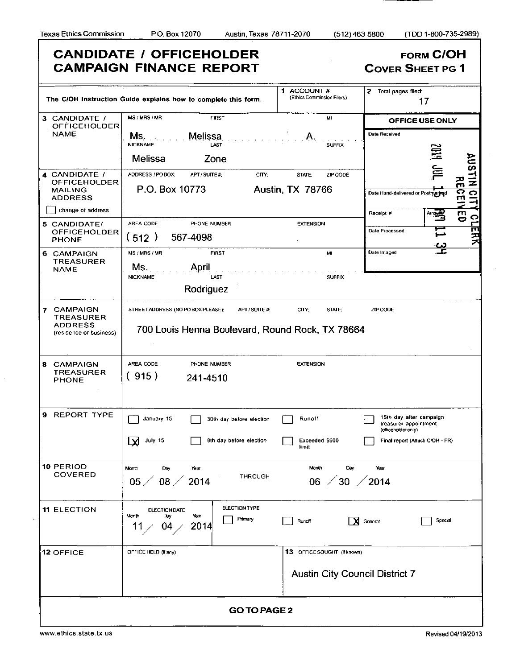٦

|                                                                          | <b>CANDIDATE / OFFICEHOLDER</b><br><b>CAMPAIGN FINANCE REPORT</b>                                   |                                                                      | <b>FORM C/OH</b><br><b>COVER SHEET PG 1</b>                                                                |
|--------------------------------------------------------------------------|-----------------------------------------------------------------------------------------------------|----------------------------------------------------------------------|------------------------------------------------------------------------------------------------------------|
|                                                                          | The C/OH Instruction Guide explains how to complete this form.                                      | 1 ACCOUNT#<br>(Ethics Commission Filers)                             | 2 Total pages filed:<br>17                                                                                 |
| 3 CANDIDATE /                                                            | MS/MRS/MR<br><b>FIRST</b>                                                                           | MI                                                                   | OFFICE USE ONLY                                                                                            |
| <b>OFFICEHOLDER</b><br><b>NAME</b>                                       | Melissa<br>Ms.<br><b>NICKNAME</b><br>LAST<br>Melissa<br>Zone                                        | <b>SUFFIX</b>                                                        | Date Received<br>旨<br>SNY                                                                                  |
| 4 CANDIDATE /<br><b>OFFICEHOLDER</b><br><b>MAILING</b><br><b>ADDRESS</b> | ADDRESS / PO BOX;<br>APT / SUITE #:<br>CITY:<br>P.O. Box 10773                                      | ZIP CODE<br>STATE:<br><b>Austin, TX 78766</b>                        | 旨<br>$\vec{z}$<br>m<br>RCE<br><b>DITY</b><br>Date Hand-delivered or Postmarked                             |
| change of address                                                        |                                                                                                     |                                                                      | $\mathbf{E}$<br>Receipt #<br>ဂ                                                                             |
| 5 CANDIDATE/<br><b>OFFICEHOLDER</b><br>PHONE                             | AREA CODE<br>PHONE NUMBER<br>(512)<br>567-4098                                                      | <b>EXTENSION</b>                                                     | ┍<br>可安天<br>Date Processed<br>⋤                                                                            |
| 6 CAMPAIGN<br><b>TREASURER</b><br><b>NAME</b>                            | MS / MRS / MR<br><b>FIRST</b><br>Ms.<br>April<br><b>NICKNAME</b><br>LAST<br>Rodriguez               | м<br><b>SUFFIX</b>                                                   | 옾<br>Date Imaged                                                                                           |
| 7 CAMPAIGN<br><b>TREASURER</b><br>ADDRESS<br>(residence or business)     | STREET ADDRESS (NO PO BOX PLEASE);<br>APT/SUITE#<br>700 Louis Henna Boulevard, Round Rock, TX 78664 | CITY;<br>STATE;                                                      | ZIP CODE                                                                                                   |
| CAMPAIGN<br>8<br><b>TREASURER</b><br>PHONE                               | AREA CODE<br>PHONE NUMBER<br>(915)<br>241-4510                                                      | <b>EXTENSION</b>                                                     |                                                                                                            |
| 9 REPORT TYPE                                                            | January 15<br>30th day before election<br>July 15<br>8th day before election<br>لايا                | Runoff<br>Exceeded \$500<br>limit                                    | 15th day after campaign<br>treasurer appointment<br>(officeholder only)<br>Final report (Attach C/OH - FR) |
| 10 PERIOD<br><b>COVERED</b>                                              | Month<br>Day<br>Year<br>THROUGH<br>$08 \angle$<br>2014<br>$05\angle$                                | Month<br>Day<br>$\frac{20}{2014}$<br>06                              | Year                                                                                                       |
| <b>11 ELECTION</b>                                                       | <b>ELECTION TYPE</b><br><b>ELECTION DATE</b><br>Month<br>Day<br>Year<br>Primary<br>2014<br>11<br>04 | l XI<br>Runoff                                                       | Special<br>General                                                                                         |
| <b>12 OFFICE</b>                                                         | OFFICE HELD (if any)                                                                                | 13 OFFICE SOUGHT (if known)<br><b>Austin City Council District 7</b> |                                                                                                            |
|                                                                          | <b>GO TO PAGE 2</b>                                                                                 |                                                                      |                                                                                                            |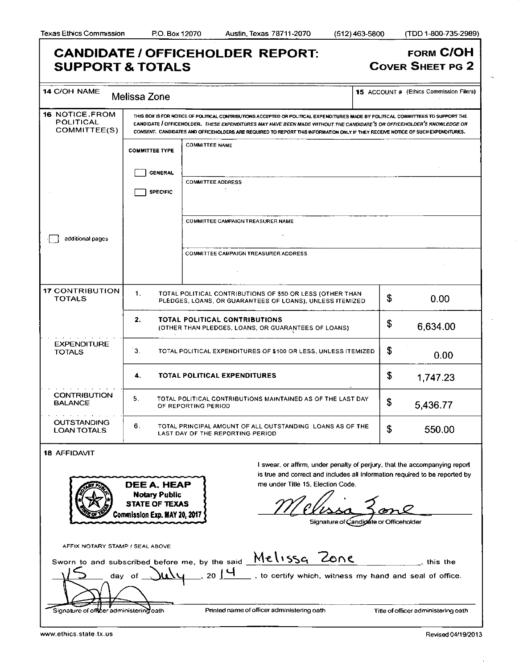### **CANDIDATE / OFFICEHOLDER REPORT: FORM C/OH** COVER SHEET PG 2

| <b>SUPPORT &amp; TOTALS</b>                                                                                             |                                                                                                                                                                                                                                                                                                                                                                                               |                                                                                                                                                                                                | <b>COVER SHEET PG 2</b>                        |  |  |
|-------------------------------------------------------------------------------------------------------------------------|-----------------------------------------------------------------------------------------------------------------------------------------------------------------------------------------------------------------------------------------------------------------------------------------------------------------------------------------------------------------------------------------------|------------------------------------------------------------------------------------------------------------------------------------------------------------------------------------------------|------------------------------------------------|--|--|
| <b>14 C/OH NAME</b>                                                                                                     | Melissa Zone                                                                                                                                                                                                                                                                                                                                                                                  |                                                                                                                                                                                                | <b>15</b> ACCOUNT # (Ethics Commission Filers) |  |  |
| <b>16 NOTICE FROM</b><br>POLITICAL<br>COMMITTEE(S)                                                                      | THIS BOX IS FOR NOTICE OF POLITICAL CONTRIBUTIONS ACCEPTED OR POLITICAL EXPENDITURES MADE BY POLITICAL COMMITTEES TO SUPPORT THE<br>CANDIDATE / OFFICEHOLDER. THESE EXPENDITURES MAY HAVE BEEN MADE WITHOUT THE CANDIDATE'S OR OFFICEHOLDER'S KNOWLEDGE OR<br>CONSENT. CANDIDATES AND OFFICEHOLDERS ARE REQUIRED TO REPORT THIS INFORMATION ONLY IF THEY RECEIVE NOTICE OF SUCH EXPENDITURES. |                                                                                                                                                                                                |                                                |  |  |
|                                                                                                                         | <b>COMMITTEE TYPE</b>                                                                                                                                                                                                                                                                                                                                                                         | <b>COMMITTEE NAME</b>                                                                                                                                                                          |                                                |  |  |
|                                                                                                                         | <b>GENERAL</b>                                                                                                                                                                                                                                                                                                                                                                                | <b>COMMITTEE ADDRESS</b>                                                                                                                                                                       |                                                |  |  |
|                                                                                                                         | <b>SPECIFIC</b>                                                                                                                                                                                                                                                                                                                                                                               | $\mathcal{L} = \{1,2,3,4\}$                                                                                                                                                                    |                                                |  |  |
|                                                                                                                         |                                                                                                                                                                                                                                                                                                                                                                                               | <b>COMMITTEE CAMPAIGN TREASURER NAME</b>                                                                                                                                                       |                                                |  |  |
| additional pages                                                                                                        |                                                                                                                                                                                                                                                                                                                                                                                               | <b>COMMITTEE CAMPAIGN TREASURER ADDRESS</b>                                                                                                                                                    |                                                |  |  |
|                                                                                                                         |                                                                                                                                                                                                                                                                                                                                                                                               |                                                                                                                                                                                                |                                                |  |  |
| <b>17 CONTRIBUTION</b><br><b>TOTALS</b>                                                                                 | 1.                                                                                                                                                                                                                                                                                                                                                                                            | TOTAL POLITICAL CONTRIBUTIONS OF \$50 OR LESS (OTHER THAN<br>PLEDGES, LOANS, OR GUARANTEES OF LOANS), UNLESS ITEMIZED                                                                          | \$<br>0.00                                     |  |  |
|                                                                                                                         | 2.                                                                                                                                                                                                                                                                                                                                                                                            | TOTAL POLITICAL CONTRIBUTIONS<br>(OTHER THAN PLEDGES, LOANS, OR GUARANTEES OF LOANS)                                                                                                           | \$<br>6,634.00                                 |  |  |
| <b>EXPENDITURE</b><br>3 <sub>1</sub><br>TOTAL POLITICAL EXPENDITURES OF \$100 OR LESS, UNLESS ITEMIZED<br><b>TOTALS</b> |                                                                                                                                                                                                                                                                                                                                                                                               | \$<br>0.00                                                                                                                                                                                     |                                                |  |  |
|                                                                                                                         | 4.                                                                                                                                                                                                                                                                                                                                                                                            | <b>TOTAL POLITICAL EXPENDITURES</b>                                                                                                                                                            | \$<br>1,747.23                                 |  |  |
| <b>CONTRIBUTION</b><br><b>BALANCE</b>                                                                                   | 5.                                                                                                                                                                                                                                                                                                                                                                                            | TOTAL POLITICAL CONTRIBUTIONS MAINTAINED AS OF THE LAST DAY<br>OF REPORTING PERIOD                                                                                                             | \$<br>5,436.77                                 |  |  |
| <b>OUTSTANDING</b><br><b>LOAN TOTALS</b>                                                                                | 6.                                                                                                                                                                                                                                                                                                                                                                                            | TOTAL PRINCIPAL AMOUNT OF ALL OUTSTANDING LOANS AS OF THE<br>LAST DAY OF THE REPORTING PERIOD                                                                                                  | \$<br>550.00                                   |  |  |
| <b>18 AFFIDAVIT</b>                                                                                                     |                                                                                                                                                                                                                                                                                                                                                                                               |                                                                                                                                                                                                |                                                |  |  |
|                                                                                                                         | DEE A. HEAP                                                                                                                                                                                                                                                                                                                                                                                   | I swear, or affirm, under penalty of perjury, that the accompanying report<br>is true and correct and includes all information required to be reported by<br>me under Title 15, Election Code. |                                                |  |  |
|                                                                                                                         | <b>Notary Public</b><br><b>STATE OF TEXAS</b>                                                                                                                                                                                                                                                                                                                                                 |                                                                                                                                                                                                |                                                |  |  |
|                                                                                                                         | Commission Exp. MAY 20, 2017                                                                                                                                                                                                                                                                                                                                                                  |                                                                                                                                                                                                | Signature of Candidate or Officeholder         |  |  |
| AFFIX NOTARY STAMP / SEAL ABOVE                                                                                         |                                                                                                                                                                                                                                                                                                                                                                                               |                                                                                                                                                                                                |                                                |  |  |
|                                                                                                                         | day of                                                                                                                                                                                                                                                                                                                                                                                        | Sworn to and subscribed before me, by the said Melissq Zone<br>$_{20}$ [ $\Box$<br>__ , to certify which, witness my hand and seal of office.                                                  | . this the                                     |  |  |
|                                                                                                                         |                                                                                                                                                                                                                                                                                                                                                                                               |                                                                                                                                                                                                |                                                |  |  |
| Signature of officer administering oath                                                                                 |                                                                                                                                                                                                                                                                                                                                                                                               | Printed name of officer administering oath                                                                                                                                                     | Title of officer administering oath            |  |  |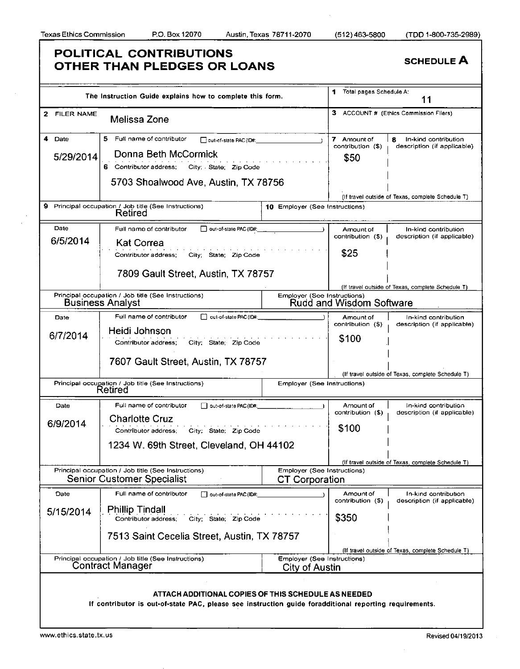|              | The Instruction Guide explains how to complete this form.                                                                                                     |                                                      | Total pages Schedule A:<br>1     | 11                                                       |
|--------------|---------------------------------------------------------------------------------------------------------------------------------------------------------------|------------------------------------------------------|----------------------------------|----------------------------------------------------------|
| 2 FILER NAME | Melissa Zone                                                                                                                                                  |                                                      |                                  | 3 ACCOUNT # (Ethics Commission Filers)                   |
| 4<br>Date    | 5<br>Full name of contributor<br>out-of-state PAC (ID#:                                                                                                       |                                                      | 7 Amount of<br>contribution (\$) | In-kind contribution<br>8<br>description (if applicable) |
| 5/29/2014    | Donna Beth McCormick                                                                                                                                          |                                                      | \$50                             |                                                          |
|              | 6 Contributor address:<br>City: State: Zip Code                                                                                                               |                                                      |                                  |                                                          |
|              | 5703 Shoalwood Ave, Austin, TX 78756                                                                                                                          |                                                      |                                  |                                                          |
|              |                                                                                                                                                               |                                                      |                                  | (If travel outside of Texas, complete Schedule T)        |
| 9            | Principal occupation / Job title (See Instructions)<br>Retired                                                                                                | 10 Employer (See Instructions)                       |                                  |                                                          |
| Date         | out-of-state PAC (ID#:<br>Full name of contributor                                                                                                            |                                                      | Amount of<br>contribution (\$)   | In-kind contribution<br>description (if applicable)      |
| 6/5/2014     | <b>Kat Correa</b>                                                                                                                                             |                                                      |                                  |                                                          |
|              | City; State; Zip Code<br>Contributor address:                                                                                                                 |                                                      | \$25                             |                                                          |
|              | 7809 Gault Street, Austin, TX 78757                                                                                                                           |                                                      |                                  |                                                          |
|              |                                                                                                                                                               |                                                      |                                  | (If travel outside of Texas, complete Schedule T)        |
|              | Principal occupation / Job title (See Instructions)<br><b>Business Analyst</b>                                                                                | Employer (See Instructions)                          | Rudd and Wisdom Software         |                                                          |
| Date         | Full name of contributor<br>out-of-state PAC (ID#:                                                                                                            |                                                      | Amount of                        | In-kind contribution                                     |
|              | Heidi Johnson                                                                                                                                                 |                                                      | contribution (\$)                | description (if applicable)                              |
| 6/7/2014     | City; State; Zip Code<br>Contributor address;                                                                                                                 |                                                      | \$100                            |                                                          |
|              | 7607 Gault Street, Austin, TX 78757                                                                                                                           |                                                      |                                  | (If travel outside of Texas, complete Schedule T)        |
|              | Principal occupation / Job title (See Instructions)                                                                                                           | <b>Employer (See Instructions)</b>                   |                                  |                                                          |
|              | Retired                                                                                                                                                       |                                                      |                                  |                                                          |
| Date         | Full name of contributor<br>out-of-state PAC (ID#:                                                                                                            |                                                      | Amount of<br>contribution (\$)   | In-kind contribution<br>description (if applicable)      |
| 6/9/2014     | <b>Charlotte Cruz</b>                                                                                                                                         |                                                      |                                  |                                                          |
|              | Contributor address:<br>City; State; Zip Code                                                                                                                 |                                                      | \$100                            |                                                          |
|              | 1234 W. 69th Street, Cleveland, OH 44102                                                                                                                      |                                                      |                                  |                                                          |
|              |                                                                                                                                                               |                                                      |                                  | (If travel outside of Texas, complete Schedule T)        |
|              | Principal occupation / Job title (See Instructions)<br><b>Senior Customer Specialist</b>                                                                      | Employer (See Instructions)<br><b>CT Corporation</b> |                                  |                                                          |
| Date         | Full name of contributor<br>out-of-state PAC (ID#:                                                                                                            |                                                      | Amount of<br>contribution (\$)   | In-kind contribution<br>description (if applicable)      |
| 5/15/2014    | <b>Phillip Tindall</b>                                                                                                                                        |                                                      |                                  |                                                          |
|              | Contributor address:<br>City; State; Zip Code                                                                                                                 |                                                      | \$350                            |                                                          |
|              | 7513 Saint Cecelia Street, Austin, TX 78757                                                                                                                   |                                                      |                                  |                                                          |
|              |                                                                                                                                                               |                                                      |                                  | (If travel outside of Texas, complete Schedule T)        |
|              | Principal occupation / Job title (See Instructions)<br><b>Contract Manager</b>                                                                                | <b>Employer (See Instructions)</b>                   |                                  |                                                          |
|              |                                                                                                                                                               | City of Austin                                       |                                  |                                                          |
|              |                                                                                                                                                               |                                                      |                                  |                                                          |
|              | ATTACH ADDITIONAL COPIES OF THIS SCHEDULE AS NEEDED<br>If contributor is out-of-state PAC, please see instruction guide foradditional reporting requirements. |                                                      |                                  |                                                          |
|              |                                                                                                                                                               |                                                      |                                  |                                                          |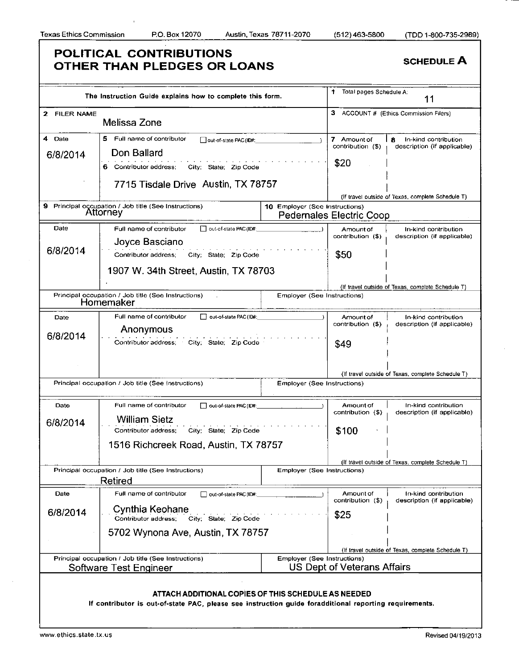|                    | The Instruction Guide explains how to complete this form.                                                                                                     |                                    | 1.<br>Total pages Schedule A:            | 11                                                       |
|--------------------|---------------------------------------------------------------------------------------------------------------------------------------------------------------|------------------------------------|------------------------------------------|----------------------------------------------------------|
| 2 FILER NAME       | Melissa Zone                                                                                                                                                  |                                    |                                          | 3 ACCOUNT # (Ethics Commission Filers)                   |
| 4 Date<br>6/8/2014 | s<br>Full name of contributor<br>out-of-state PAC (ID#:<br>Don Ballard                                                                                        |                                    | 7 Amount of<br>contribution (\$)<br>\$20 | In-kind contribution<br>8<br>description (if applicable) |
|                    | 6 Contributor address;<br>City State: Zip Code<br>7715 Tisdale Drive Austin, TX 78757                                                                         |                                    |                                          | (If travel outside of Texas, complete Schedule T)        |
|                    | 9 Principal occupation / Job title (See Instructions)<br>Attorney                                                                                             | 10 Employer (See Instructions)     | <b>Pedernales Electric Coop</b>          |                                                          |
| Date<br>6/8/2014   | Full name of contributor<br>out-of-state PAC (ID#:<br>Joyce Basciano<br>Contributor address;<br>City: State: Zip Code                                         |                                    | Amount of<br>contribution (\$)<br>\$50   | In-kind contribution<br>description (if applicable)      |
|                    | 1907 W. 34th Street, Austin, TX 78703                                                                                                                         |                                    |                                          |                                                          |
|                    | Principal occupation / Job title (See Instructions)<br>Homemaker                                                                                              | Employer (See Instructions)        |                                          | (If travel outside of Texas, complete Schedule T)        |
| Date<br>6/8/2014   | Full name of contributor<br>out-of-state PAC (ID#:<br>Anonymous<br>Contributor address; City; State; Zip Code                                                 |                                    | Amount of<br>contribution (\$)<br>\$49   | In-kind contribution<br>description (if applicable)      |
|                    | Principal occupation / Job title (See Instructions)                                                                                                           | <b>Employer (See Instructions)</b> |                                          | (If travel outside of Texas, complete Schedule T)        |
| Date               | Full name of contributor<br>oul-of-slate PAC (ID#:                                                                                                            |                                    | Amount of                                | In-kind contribution                                     |
| 6/8/2014           | <b>William Sietz</b><br>Contributor address;<br>City: State: Zip Code                                                                                         |                                    | contribution (\$)<br>\$100               | description (if applicable)                              |
|                    | 1516 Richcreek Road, Austin, TX 78757                                                                                                                         |                                    |                                          | (If travel outside of Texas, complete Schedule T)        |
|                    | Principal occupation / Job title (See Instructions)<br>Retired                                                                                                | <b>Employer (See Instructions)</b> |                                          |                                                          |
| Date<br>6/8/2014   | Full name of contributor<br>out-of-state PAC (ID#:<br>Cynthia Keohane<br>Contributor address:                                                                 |                                    | Amount of<br>contribution (\$)<br>\$25   | In-kind contribution<br>description (if applicable)      |
|                    | City; State: Zip Code<br>5702 Wynona Ave, Austin, TX 78757                                                                                                    |                                    |                                          |                                                          |
|                    | Principal occupation / Job title (See Instructions)<br>Software Test Engineer                                                                                 | Employer (See Instructions)        | US Dept of Veterans Affairs              | (If travel outside of Texas, complete Schedule T)        |
|                    | ATTACH ADDITIONAL COPIES OF THIS SCHEDULE AS NEEDED<br>If contributor is out-of-state PAC, please see instruction guide foradditional reporting requirements. |                                    |                                          |                                                          |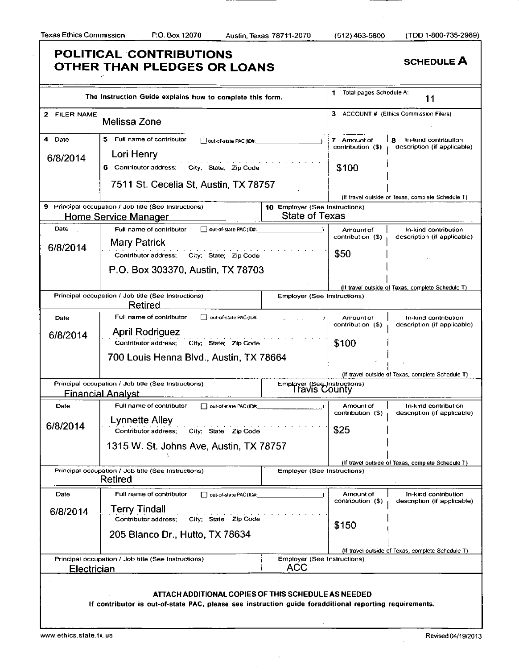### **POLITICAL CONTRIBUTIONS OTHER THAN PLEDGES OR LOANS** SCHEDULE A The Instruction Guide explains how to complete this form. 1 Total pages Schedule A: **11**  2 FILER NAME Melissa Zone 3 ACCOUNT # (Ethics Commission Filers) 4 Date **6/8/2014**  5 Full name of contributor  $\Box$  out-of-state PAC (ID#: Lori Henry 7 Amount of  $\begin{vmatrix} 8 & \text{in-kind contribution} \\ 0 & \text{contribution} \end{vmatrix}$  description (if applicable description (if applicable) 6 Contributor address; City; State; Zip Code 7511 St. Cecelia St, Austin, TX 78757 **\$100**  (If travel outside of Texas, complete Schedule T) 9 Principal occupation / Job title (See Instructions) Home Service Manager 10 Employer (See Instructions) State of Texas Date **6/8/2014**  Full name of contributor  $\Box$  out-of-state PAC(ID#: Mary Patrick Contributor address; City; State; Zip Code P.O. Box 303370, Austin, TX 78703 Amount of | In-kind contribution<br>contribution (\$) | description (if applicate description (if applicable) **\$50**  (If travel outside of Texas, complete Schedule T) Principal occupation / Job title (See Instructions) Retired Employer (See Instructions) Date **6/8/2014**  Full name of contributor  $\Box$  out-of-state PAC (ID# April Rodriguez Contributor address; City; State; Zip Code 700 Louis Henna Blvd., Austin, TX 78664 Amount of contribution (\$) In-kind contribution description (if applicable) **\$100**  (If travel outside of Texas, complete Schedule T) Principal occupation / Job title (See Instructions) Financial Analyst Employer (3eeJnstructions) Travis County Date **6/8/2014**  Full name of contributor  $\Box$  out-of-state PAC (ID#: Lynnette Alley Contributor address; City; State; Zip Code 1315 W. St. Johns Ave, Austin, TX 78757 Amount of | In-kind contribution<br>contribution (\$) description (if applicably description (if applicable) **\$25**  (If travel outside of Texas, complete Schedule T) Principal occupation / Job title (See Instructions) Retired Employer (See Instructions) Date **6/8/2014**  Full name of contributor  $\Box$  out-of-state PAC (ID# **Terry Tindall**<br>Contributor address: City; State; Zip Code 205 Blanco Dr., Hutto, TX 78634 Amount of In-kind contribution<br>contribution (\$) description (if applicate description (if applicable) **\$150**  (If travel outside of Texas, complete Schedule T) Principal occupation / Job title (See Instructions) **Electrician** Employer (See Instructions) ACC ATTACH ADDITIONAL COPIES OF THIS SCHEDULE AS NEEDED If contributor is out-of-state PAC, please see instruction guide foradditional reporting requirements.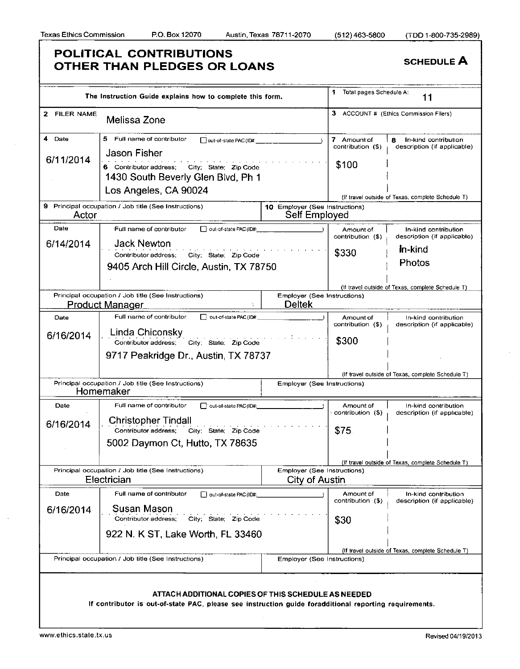|              | The Instruction Guide explains how to complete this form.                                                                                                     |                                                      | 1<br>Total pages Schedule A:<br>11 |                                                          |
|--------------|---------------------------------------------------------------------------------------------------------------------------------------------------------------|------------------------------------------------------|------------------------------------|----------------------------------------------------------|
| 2 FILER NAME | Melissa Zone                                                                                                                                                  |                                                      |                                    | 3 ACCOUNT # (Ethics Commission Filers)                   |
| 4 Date       | 5 Full name of contributor<br>out-of-state PAC (ID#:<br><b>Jason Fisher</b>                                                                                   |                                                      | 7 Amount of<br>contribution (\$)   | In-kind contribution<br>8<br>description (if applicable) |
| 6/11/2014    | 6 Contributor address:<br>City; State: Zip Code<br>1430 South Beverly Glen Blvd, Ph 1                                                                         |                                                      | \$100                              |                                                          |
|              | Los Angeles, CA 90024                                                                                                                                         |                                                      |                                    | (if travel outside of Texas, complete Schedule T)        |
| Actor        | 9 Principal occupation / Job title (See Instructions)                                                                                                         | 10 Employer (See Instructions)<br>Self Employed      |                                    |                                                          |
| Date         | Full name of contributor<br>□ out-of-state PAC (ID#:                                                                                                          |                                                      | Amount of<br>contribution (\$)     | In-kind contribution<br>description (if applicable)      |
| 6/14/2014    | <b>Jack Newton</b><br>Contributor address; City; State; Zip Code<br>9405 Arch Hill Circle, Austin, TX 78750                                                   |                                                      | \$330                              | <b>In-kind</b><br>Photos                                 |
|              |                                                                                                                                                               |                                                      |                                    | (if travel outside of Texas, complete Schedule T)        |
|              | Principal occupation / Job title (See Instructions)<br><u>Product Manager</u>                                                                                 | Employer (See Instructions)<br><b>Deltek</b>         |                                    |                                                          |
| Date         | Full name of contributor<br>out-of-state PAC (ID#                                                                                                             |                                                      | Amount of<br>contribution (\$)     | In-kind contribution<br>description (if applicable)      |
| 6/16/2014    | Linda Chiconsky<br>Contributor address; City; State: Zip Code                                                                                                 |                                                      | \$300                              |                                                          |
|              | 9717 Peakridge Dr., Austin, TX 78737                                                                                                                          |                                                      |                                    |                                                          |
|              |                                                                                                                                                               |                                                      |                                    | (If travel outside of Texas, complete Schedule T)        |
|              | Principal occupation / Job title (See Instructions)<br>Homemaker                                                                                              | Employer (See Instructions)                          |                                    |                                                          |
| Date         | Full name of contributor<br>out-of-slate PAC (ID#:                                                                                                            |                                                      | Amount of<br>contribution (\$)     | In-kind contribution<br>description (if applicable)      |
| 6/16/2014    | Christopher Tindall<br>Contributor address; City; State; Zip Code                                                                                             |                                                      | \$75                               |                                                          |
|              | 5002 Daymon Ct, Hutto, TX 78635                                                                                                                               |                                                      |                                    |                                                          |
|              |                                                                                                                                                               |                                                      |                                    | (If travel outside of Texas, complete Schedule T)        |
|              | Principal occupation / Job title (See Instructions)<br>Electrician                                                                                            | <b>Employer (See Instructions)</b><br>City of Austin |                                    |                                                          |
| Date         | Full name of contributor<br>out-of-state PAC (ID#:                                                                                                            |                                                      | Amount of                          | In-kind contribution                                     |
| 6/16/2014    | Susan Mason<br>Contributor address:<br>City: State: Zip Code                                                                                                  |                                                      | contribution (\$)                  | description (if applicable)                              |
|              | 922 N. K ST, Lake Worth, FL 33460                                                                                                                             |                                                      | \$30                               |                                                          |
|              |                                                                                                                                                               |                                                      |                                    | (If travel outside of Texas, complete Schedule T)        |
|              | Principal occupation / Job title (See Instructions)                                                                                                           | Employer (See Instructions)                          |                                    |                                                          |
|              |                                                                                                                                                               |                                                      |                                    |                                                          |
|              | ATTACH ADDITIONAL COPIES OF THIS SCHEDULE AS NEEDED<br>If contributor is out-of-state PAC, please see instruction guide foradditional reporting requirements. |                                                      |                                    |                                                          |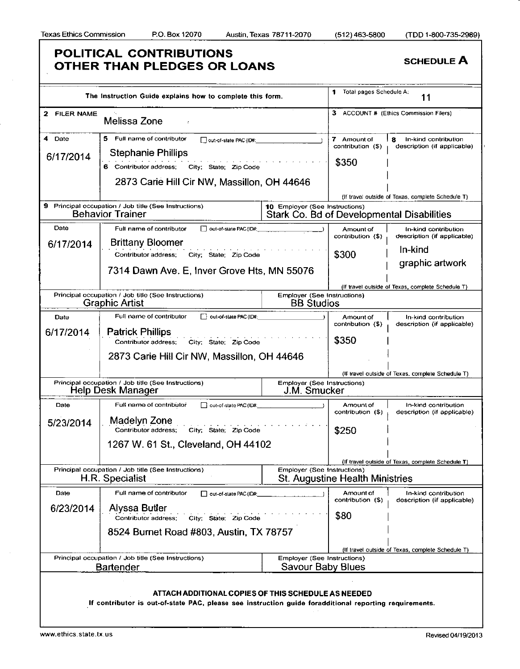|                     | The Instruction Guide explains how to complete this form.                                                                                                                               |                                                    | Total pages Schedule A:<br>1              | 11                                                       |
|---------------------|-----------------------------------------------------------------------------------------------------------------------------------------------------------------------------------------|----------------------------------------------------|-------------------------------------------|----------------------------------------------------------|
| 2 FILER NAME        | Melissa Zone                                                                                                                                                                            |                                                    |                                           | ACCOUNT # (Ethics Commission Filers)                     |
| 4 Date<br>6/17/2014 | Full name of contributor<br>5.<br>out-of-slate PAC (ID#:<br><b>Stephanie Phillips</b><br>6 Contributor address;<br>City: State: Zip Code<br>2873 Carie Hill Cir NW, Massillon, OH 44646 |                                                    | 7 Amount of<br>contribution (\$)<br>\$350 | In-kind contribution<br>я<br>description (if applicable) |
|                     |                                                                                                                                                                                         |                                                    |                                           |                                                          |
|                     |                                                                                                                                                                                         |                                                    |                                           | (If travel outside of Texas, complete Schedule T)        |
| 9.                  | Principal occupation / Job title (See Instructions)<br><b>Behavior Trainer</b>                                                                                                          | 10 Employer (See Instructions)                     |                                           | Stark Co. Bd of Developmental Disabilities               |
| Date                | Full name of contributor<br>out-of-state PAC (ID#:                                                                                                                                      |                                                    | Amount of                                 | In-kind contribution                                     |
| 6/17/2014           | <b>Brittany Bloomer</b>                                                                                                                                                                 |                                                    | contribution (\$)                         | description (if applicable)                              |
|                     | City; State; Zip Code<br>Contributor address;                                                                                                                                           |                                                    | \$300                                     | In-kind                                                  |
|                     |                                                                                                                                                                                         |                                                    |                                           | graphic artwork                                          |
|                     | 7314 Dawn Ave. E, Inver Grove Hts, MN 55076                                                                                                                                             |                                                    |                                           |                                                          |
|                     |                                                                                                                                                                                         |                                                    |                                           | (If travel outside of Texas, complete Schedule T)        |
|                     | Principal occupation / Job title (See Instructions)                                                                                                                                     | <b>Employer (See Instructions)</b>                 |                                           |                                                          |
|                     | <b>Graphic Artist</b>                                                                                                                                                                   | <b>BB Studios</b>                                  |                                           |                                                          |
| Date                | Full name of contributor<br>out-of-state PAC (ID#:                                                                                                                                      |                                                    | Amount of<br>contribution (\$)            | In-kind contribution<br>description (if applicable)      |
| 6/17/2014           | <b>Patrick Phillips</b>                                                                                                                                                                 |                                                    |                                           |                                                          |
|                     | Contributor address;<br>City: State: Zip Code                                                                                                                                           |                                                    | \$350                                     |                                                          |
|                     | 2873 Carie Hill Cir NW, Massillon, OH 44646                                                                                                                                             |                                                    |                                           |                                                          |
|                     |                                                                                                                                                                                         |                                                    |                                           |                                                          |
|                     |                                                                                                                                                                                         |                                                    |                                           | (If travel outside of Texas, complete Schedule T)        |
|                     | Principal occupation / Job title (See Instructions)<br>Help Desk Manager                                                                                                                | <b>Employer (See Instructions)</b><br>J.M. Smucker |                                           |                                                          |
| Date                | Full name of contributor<br>out-of-state PAC (ID#:                                                                                                                                      |                                                    | Amount of                                 | In-kind contribution                                     |
|                     |                                                                                                                                                                                         |                                                    | contribution (\$)                         | description (if applicable)                              |
| 5/23/2014           | Madelyn Zone<br>Contributor address;<br>City; State; Zip Code                                                                                                                           |                                                    | \$250                                     |                                                          |
|                     |                                                                                                                                                                                         |                                                    |                                           |                                                          |
|                     | 1267 W. 61 St., Cleveland, OH 44102                                                                                                                                                     |                                                    |                                           |                                                          |
|                     |                                                                                                                                                                                         |                                                    |                                           | (If travel outside of Texas, complete Schedule T)        |
|                     | Principal occupation / Job title (See Instructions)                                                                                                                                     | Employer (See Instructions)                        |                                           |                                                          |
|                     | H.R. Specialist                                                                                                                                                                         |                                                    | <b>St. Augustine Health Ministries</b>    |                                                          |
| Date                | Full name of contributor<br>out-of-state PAC (ID#:                                                                                                                                      |                                                    | Amount of                                 | In-kind contribution                                     |
|                     |                                                                                                                                                                                         |                                                    | contribution (\$)                         | description (if applicable)                              |
| 6/23/2014           | Alyssa Butler                                                                                                                                                                           |                                                    | \$80                                      |                                                          |
|                     | Contributor address;<br>City: State: Zip Code                                                                                                                                           |                                                    |                                           |                                                          |
|                     | 8524 Burnet Road #803, Austin, TX 78757                                                                                                                                                 |                                                    |                                           |                                                          |
|                     |                                                                                                                                                                                         |                                                    |                                           |                                                          |
|                     | Principal occupation / Job title (See Instructions)                                                                                                                                     | <b>Employer (See Instructions)</b>                 |                                           | (If travel outside of Texas, complete Schedule T)        |
|                     | <b>Bartender</b>                                                                                                                                                                        | Savour Baby Blues                                  |                                           |                                                          |
|                     |                                                                                                                                                                                         |                                                    |                                           |                                                          |
|                     |                                                                                                                                                                                         |                                                    |                                           |                                                          |
|                     | ATTACH ADDITIONAL COPIES OF THIS SCHEDULE AS NEEDED<br>If contributor is out-of-state PAC, please see instruction guide foradditional reporting requirements.                           |                                                    |                                           |                                                          |
|                     |                                                                                                                                                                                         |                                                    |                                           |                                                          |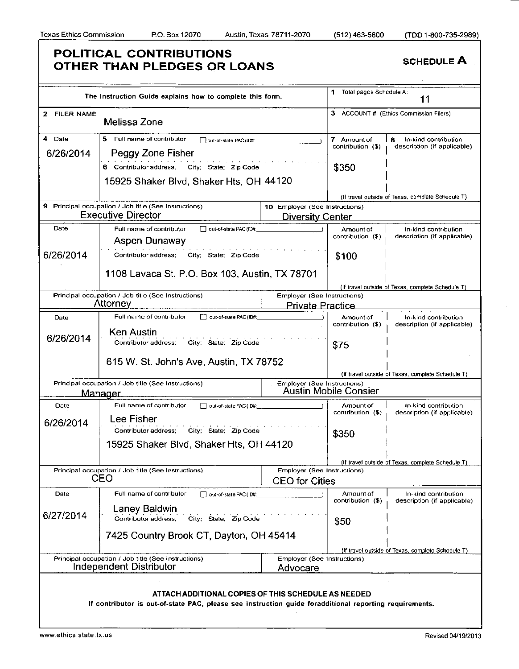|              | The Instruction Guide explains how to complete this form.                                                                                                     |                                | Total pages Schedule A:        | 11                                                  |
|--------------|---------------------------------------------------------------------------------------------------------------------------------------------------------------|--------------------------------|--------------------------------|-----------------------------------------------------|
| 2 FILER NAME | Melissa Zone                                                                                                                                                  |                                |                                | 3 ACCOUNT # (Ethics Commission Filers)              |
| 4 Date       | 5 Full name of contributor<br>out-of-state PAC (ID#:                                                                                                          |                                | 7 Amount of                    | 8<br>In-kind contribution                           |
| 6/26/2014    | Peggy Zone Fisher                                                                                                                                             |                                | contribution (\$)              | description (if applicable)                         |
|              | 6 Contributor address; City; State; Zip Code                                                                                                                  |                                | \$350                          |                                                     |
|              | 15925 Shaker Blvd, Shaker Hts, OH 44120                                                                                                                       |                                |                                |                                                     |
|              |                                                                                                                                                               |                                |                                |                                                     |
|              | 9 Principal occupation / Job title (See Instructions)                                                                                                         | 10 Employer (See Instructions) |                                | (If travel outside of Texas, complete Schedule T)   |
|              | <b>Executive Director</b>                                                                                                                                     | <b>Diversity Center</b>        |                                |                                                     |
| Date         | Full name of contributor<br>out-of-state PAC (ID#:                                                                                                            |                                | Amount of                      | In-kind contribution                                |
|              | Aspen Dunaway                                                                                                                                                 |                                | contribution (\$)              | description (if applicable)                         |
| 6/26/2014    | Contributor address; City; State; Zip Code                                                                                                                    |                                | \$100                          |                                                     |
|              | 1108 Lavaca St, P.O. Box 103, Austin, TX 78701                                                                                                                |                                |                                |                                                     |
|              |                                                                                                                                                               |                                |                                | (If travel outside of Texas, complete Schedule T)   |
|              | Principal occupation / Job title (See Instructions)<br>Attorney                                                                                               | Employer (See Instructions)    |                                |                                                     |
|              |                                                                                                                                                               | <b>Private Practice</b>        |                                |                                                     |
| Date         | Full name of contributor<br>out-of-state PAC (ID#:                                                                                                            |                                | Amount of<br>contribution (\$) | In-kind contribution<br>description (if applicable) |
| 6/26/2014    | <b>Ken Austin</b><br>Contributor address; City; State; Zip Code                                                                                               |                                | \$75                           |                                                     |
|              | 615 W. St. John's Ave, Austin, TX 78752                                                                                                                       |                                |                                |                                                     |
|              |                                                                                                                                                               |                                |                                | (If travel outside of Texas, complete Schedule T)   |
|              | Principal occupation / Job title (See Instructions).                                                                                                          | Employer (See Instructions)    |                                |                                                     |
|              | <u>Manager</u>                                                                                                                                                |                                | <b>Austin Mobile Consier</b>   |                                                     |
| Date         | Full name of contributor<br>out-of-state PAC (ID#:                                                                                                            |                                | Amount of<br>contribution (\$) | In-kind contribution<br>description (if applicable) |
| 6/26/2014    | Lee Fisher                                                                                                                                                    |                                |                                |                                                     |
|              | City; State; Zip Code<br>Contributor address;                                                                                                                 |                                | \$350                          |                                                     |
|              | 15925 Shaker Blvd, Shaker Hts, OH 44120                                                                                                                       |                                |                                |                                                     |
|              |                                                                                                                                                               |                                |                                | (If travel outside of Texas, complete Schedule T)   |
|              | Principal occupation / Job title (See Instructions)                                                                                                           | Employer (See Instructions)    |                                |                                                     |
|              | CEO                                                                                                                                                           | <b>CEO</b> for Cities          |                                |                                                     |
| Date         | Full name of contributor<br>out-of-state PAC (ID#:                                                                                                            |                                | Amount of<br>contribution (\$) | In-kind contribution<br>description (if applicable) |
| 6/27/2014    | Laney Baldwin                                                                                                                                                 |                                |                                |                                                     |
|              | Contributor address;<br>City: State: Zip Code                                                                                                                 |                                | \$50                           |                                                     |
|              | 7425 Country Brook CT, Dayton, OH 45414                                                                                                                       |                                |                                |                                                     |
|              |                                                                                                                                                               |                                |                                | (If travel outside of Texas, complete Schedule T)   |
|              | Principal occupation / Job title (See Instructions)<br>Independent Distributor                                                                                | Employer (See Instructions)    |                                |                                                     |
|              |                                                                                                                                                               | Advocare                       |                                |                                                     |
|              |                                                                                                                                                               |                                |                                |                                                     |
|              | ATTACH ADDITIONAL COPIES OF THIS SCHEDULE AS NEEDED<br>If contributor is out-of-state PAC, please see instruction guide foradditional reporting requirements. |                                |                                |                                                     |
|              |                                                                                                                                                               |                                |                                |                                                     |
|              |                                                                                                                                                               |                                |                                |                                                     |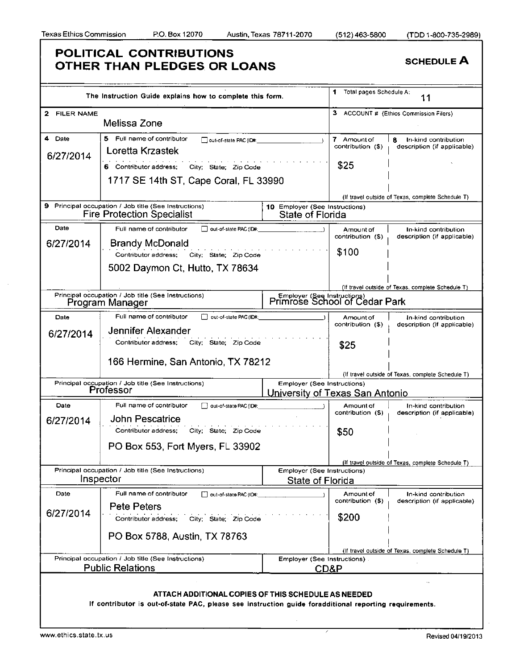|              | The Instruction Guide explains how to complete this form.                                              |                                                              | 1 Total pages Schedule A: | 11                                                |
|--------------|--------------------------------------------------------------------------------------------------------|--------------------------------------------------------------|---------------------------|---------------------------------------------------|
| 2 FILER NAME |                                                                                                        |                                                              |                           | 3 ACCOUNT # (Ethics Commission Filers)            |
|              | Melissa Zone                                                                                           |                                                              |                           |                                                   |
| 4 Date       | 5 Full name of contributor<br>out-of-state PAC (ID#.                                                   |                                                              | 7 Amount of               | 8<br>In-kind contribution                         |
| 6/27/2014    | Loretta Krzastek                                                                                       |                                                              | contribution (\$)         | description (if applicable)                       |
|              | 6 Contributor address;<br>City State; Zip Code                                                         |                                                              | \$25                      |                                                   |
|              | 1717 SE 14th ST, Cape Coral, FL 33990                                                                  |                                                              |                           |                                                   |
|              |                                                                                                        |                                                              |                           | (If travel outside of Texas, complete Schedule T) |
|              | 9 Principal occupation / Job title (See Instructions)                                                  | 10 Employer (See Instructions)                               |                           |                                                   |
|              | <b>Fire Protection Specialist</b>                                                                      | State of Florida                                             |                           |                                                   |
| Date         | out-of-state PAC (ID#:<br>Full name of contributor                                                     |                                                              | Amount of                 | In-kind contribution                              |
| 6/27/2014    | <b>Brandy McDonald</b>                                                                                 |                                                              | contribution (\$)         | description (if applicable)                       |
|              | Contributor address; City; State; Zip Code                                                             |                                                              | \$100                     |                                                   |
|              |                                                                                                        |                                                              |                           |                                                   |
|              | 5002 Daymon Ct, Hutto, TX 78634                                                                        |                                                              |                           |                                                   |
|              |                                                                                                        |                                                              |                           | (If travel outside of Texas, complete Schedule T) |
|              | Principal occupation / Job title (See Instructions)                                                    | Employer (See Instructions)<br>Primrose School of Cedar Park |                           |                                                   |
|              | Program Manager                                                                                        |                                                              |                           |                                                   |
| Date         | Full name of contributor<br>out-of-state PAC (ID#:                                                     |                                                              | Amount of                 | In-kind contribution                              |
|              | Jennifer Alexander                                                                                     |                                                              | contribution (\$)         | description (if applicable)                       |
| 6/27/2014    | Contributor address;<br>City State Zip Code                                                            |                                                              |                           |                                                   |
|              |                                                                                                        |                                                              | \$25                      |                                                   |
|              | 166 Hermine, San Antonio, TX 78212                                                                     |                                                              |                           |                                                   |
|              |                                                                                                        |                                                              |                           | (If travel outside of Texas, complete Schedule T) |
|              | Principal occupation / Job title (See Instructions)                                                    | Employer (See Instructions)                                  |                           |                                                   |
|              | Professor                                                                                              | University of Texas San Antonio                              |                           |                                                   |
| Date         | Full name of contributor<br>oul-of-state PAC (ID#:                                                     |                                                              | Amount of                 | In-kind contribution                              |
| 6/27/2014    | John Pescatrice                                                                                        |                                                              | contribution (\$)         | description (if applicable)                       |
|              | Contributor address;<br>City: State: Zip Code                                                          |                                                              | \$50                      |                                                   |
|              |                                                                                                        |                                                              |                           |                                                   |
|              | PO Box 553, Fort Myers, FL 33902                                                                       |                                                              |                           |                                                   |
|              |                                                                                                        |                                                              |                           | (If travel outside of Texas, complete Schedule T) |
|              | Principal occupation / Job title (See Instructions)                                                    | Employer (See Instructions)                                  |                           |                                                   |
|              | Inspector                                                                                              | State of Florida                                             |                           |                                                   |
| Date         | Full name of contributor<br>out-of-state PAC (ID#:                                                     |                                                              | Amount of                 | In-kind contribution                              |
|              | <b>Pete Peters</b>                                                                                     |                                                              | contribution (\$)         | description (if applicable)                       |
| 6/27/2014    | Contributor address;<br>City: State: Zip Code                                                          |                                                              | \$200                     |                                                   |
|              |                                                                                                        |                                                              |                           |                                                   |
|              | PO Box 5788, Austin, TX 78763                                                                          |                                                              |                           |                                                   |
|              |                                                                                                        |                                                              |                           | (If travel outside of Texas, complete Schedule T) |
|              | Principal occupation / Job title (See Instructions)                                                    | Employer (See Instructions).                                 |                           |                                                   |
|              | <b>Public Relations</b>                                                                                | CD&P                                                         |                           |                                                   |
|              |                                                                                                        |                                                              |                           |                                                   |
|              | ATTACH ADDITIONAL COPIES OF THIS SCHEDULE AS NEEDED                                                    |                                                              |                           |                                                   |
|              | If contributor is out-of-state PAC, please see instruction guide foradditional reporting requirements. |                                                              |                           |                                                   |
|              |                                                                                                        |                                                              |                           |                                                   |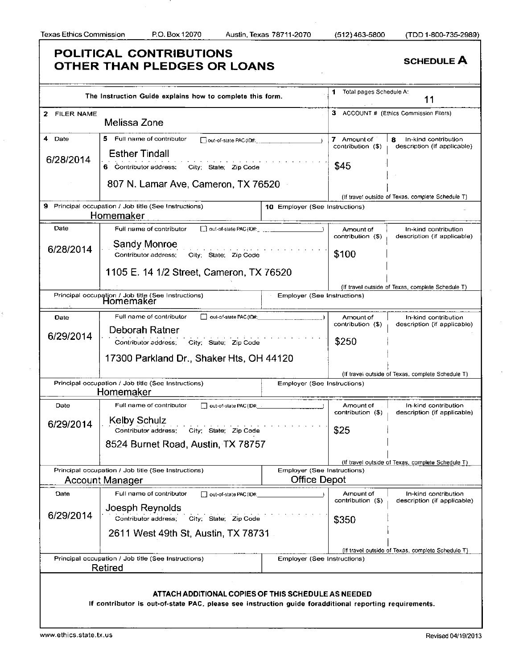|                         | The Instruction Guide explains how to complete this form.                                              |                                | 1 Total pages Schedule A:        | 11                                                        |
|-------------------------|--------------------------------------------------------------------------------------------------------|--------------------------------|----------------------------------|-----------------------------------------------------------|
| <b>FILER NAME</b><br>2. |                                                                                                        |                                |                                  | 3 ACCOUNT # (Ethics Commission Filers)                    |
|                         | Melissa Zone                                                                                           |                                |                                  |                                                           |
| 4 Date                  | 5 Full name of contributor<br>out-of-slate PAC (ID#; internal and internal and                         |                                | 7 Amount of<br>contribution (\$) | In-kind contribution<br>8.<br>description (if applicable) |
| 6/28/2014               | <b>Esther Tindall</b>                                                                                  |                                |                                  |                                                           |
|                         | 6 Contributor address;<br>City: State: Zip Code                                                        |                                | \$45                             |                                                           |
|                         | 807 N. Lamar Ave, Cameron, TX 76520                                                                    |                                |                                  |                                                           |
|                         | 9 Principal occupation / Job title (See Instructions)                                                  |                                |                                  | (If travet outside of Texas, complete Schedule T)         |
|                         | Homemaker                                                                                              | 10 Employer (See Instructions) |                                  |                                                           |
| Date                    | Full name of contributor<br>out-of-state PAC (ID#:                                                     |                                | Amount of<br>contribution (\$)   | In-kind contribution<br>description (if applicable)       |
| 6/28/2014               | Sandy Monroe                                                                                           |                                |                                  |                                                           |
|                         | Contributor address;<br>City State, Zip Code                                                           |                                | \$100                            |                                                           |
|                         | 1105 E. 14 1/2 Street, Cameron, TX 76520                                                               |                                |                                  |                                                           |
|                         |                                                                                                        |                                |                                  | (If travel outside of Texas, complete Schedule T)         |
|                         | Principal occupation / Job title (See Instructions)<br>Homemaker                                       | Employer (See Instructions)    |                                  |                                                           |
| Date                    | Full name of contributor<br>oul-of-state PAC (ID#:                                                     |                                | Amount of                        | In-kind contribution                                      |
|                         | Deborah Ratner                                                                                         |                                | contribution (\$)                | description (if applicable)                               |
| 6/29/2014               | Contributor address;<br>City: State: Zip Code                                                          |                                | \$250                            |                                                           |
|                         | 17300 Parkland Dr., Shaker Hts, OH 44120                                                               |                                |                                  |                                                           |
|                         |                                                                                                        |                                |                                  | (If travel outside of Texas, complete Schedule T)         |
|                         | Principal occupation / Job title (See Instructions)                                                    | Employer (See Instructions)    |                                  |                                                           |
|                         | Homemaker                                                                                              |                                |                                  |                                                           |
| Date                    | Full name of contributor<br>out-of-state PAC (ID#:                                                     |                                | Amount of<br>contribution (\$)   | In-kind contribution<br>description (if applicable)       |
| 6/29/2014               | Kelby Schulz<br>Contributor address;<br>City; State; Zip Code                                          |                                | \$25                             |                                                           |
|                         |                                                                                                        |                                |                                  |                                                           |
|                         | 8524 Burnet Road, Austin, TX 78757                                                                     |                                |                                  |                                                           |
|                         |                                                                                                        |                                |                                  | (If travel outside of Texas, complete Schedule T)         |
|                         | Principal occupation / Job title (See Instructions)                                                    | Employer (See Instructions)    |                                  |                                                           |
|                         | Account Manager                                                                                        | <b>Office Depot</b>            |                                  |                                                           |
| Date                    | Full name of contributor<br>out-of-state PAC (ID#:                                                     |                                | Amount of<br>contribution (\$)   | In-kind contribution<br>description (if applicable)       |
| 6/29/2014               | Joesph Reynolds<br>Contributor address:<br>City: State: Zip Code                                       |                                |                                  |                                                           |
|                         | 2611 West 49th St, Austin, TX 78731                                                                    |                                | \$350                            |                                                           |
|                         |                                                                                                        |                                |                                  |                                                           |
|                         | Principal occupation / Job title (See Instructions)                                                    | Employer (See Instructions)    |                                  | (If travel outside of Texas, complete Schedule T)         |
|                         | Retired                                                                                                |                                |                                  |                                                           |
|                         |                                                                                                        |                                |                                  |                                                           |
|                         | ATTACH ADDITIONAL COPIES OF THIS SCHEDULE AS NEEDED                                                    |                                |                                  |                                                           |
|                         | If contributor is out-of-state PAC, please see instruction guide foradditional reporting requirements. |                                |                                  |                                                           |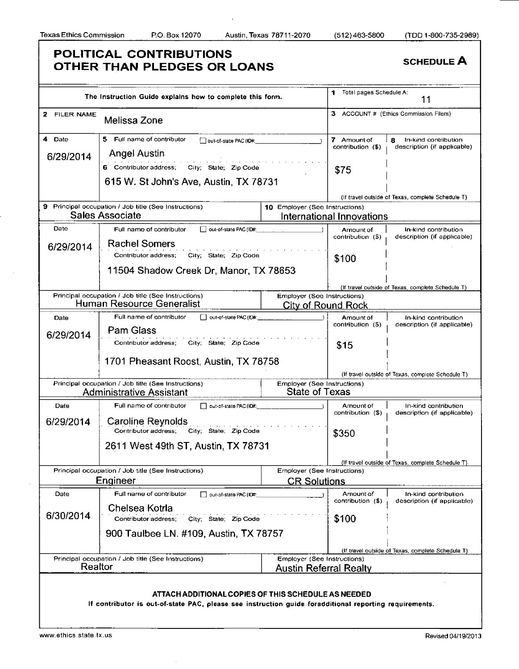|              | The Instruction Guide explains how to complete this form.                                              |                                | 1<br>Total pages Schedule A:   | 11                                                  |
|--------------|--------------------------------------------------------------------------------------------------------|--------------------------------|--------------------------------|-----------------------------------------------------|
| 2 FILER NAME | Melissa Zone                                                                                           |                                |                                | 3 ACCOUNT # (Ethics Commission Filers)              |
| 4.<br>Date   | 5.<br>Full name of contributor<br>out-of-slate PAC (ID#:                                               |                                | 7 Amount of                    | In-kind contribution<br>8                           |
| 6/29/2014    | <b>Angel Austin</b>                                                                                    |                                | contribution (\$)              | description (if applicable)                         |
|              | 6 Contributor address;<br>City: State: Zip Code                                                        |                                |                                |                                                     |
|              | 615 W. St John's Ave, Austin, TX 78731                                                                 |                                | \$75                           |                                                     |
|              |                                                                                                        |                                |                                |                                                     |
|              | 9 Principal occupation / Job title (See Instructions)                                                  | 10 Employer (See Instructions) |                                | (If travel outside of Texas, complete Schedule T)   |
|              | Sales Associate                                                                                        |                                | International Innovations      |                                                     |
| Date         | out-of-state PAC (ID#:<br>Full name of contributor                                                     |                                | Amount of                      | In-kind contribution                                |
| 6/29/2014    | <b>Rachel Somers</b>                                                                                   |                                | contribution (\$)              | description (if applicable)                         |
|              | Contributor address;<br>City, State; Zip Code                                                          |                                | \$100                          |                                                     |
|              | 11504 Shadow Creek Dr, Manor, TX 78653                                                                 |                                |                                |                                                     |
|              |                                                                                                        |                                |                                |                                                     |
|              | Principal occupation / Job title (See Instructions)                                                    | Employer (See Instructions)    |                                | (If travel outside of Texas, complete Schedule T)   |
|              | Human Resource Generalist                                                                              | <b>City of Round Rock</b>      |                                |                                                     |
| Date         | Full name of contributor<br>out-of-state PAC (ID#:                                                     |                                | Amount of                      | In-kind contribution                                |
| 6/29/2014    | Pam Glass                                                                                              |                                | contribution (\$)              | description (if applicable)                         |
|              | City: State: Zip Code<br>Contributor address;                                                          |                                | \$15                           |                                                     |
|              | 1701 Pheasant Roost, Austin, TX 78758                                                                  |                                |                                |                                                     |
|              |                                                                                                        |                                |                                | (If travel outside of Texas, complete Schedule T)   |
|              | Principal occupation / Job title (See Instructions)                                                    | Employer (See Instructions)    |                                |                                                     |
|              | Administrative Assistant                                                                               | <b>State of Texas</b>          |                                |                                                     |
| Date         | Full name of contributor<br>out-of-state PAC (ID#:                                                     |                                | Amount of<br>contribution (\$) | In-kind contribution<br>description (if applicable) |
| 6/29/2014    | Caroline Reynolds                                                                                      |                                |                                |                                                     |
|              | Contributor address;<br>City: State: Zip Code                                                          |                                | \$350                          |                                                     |
|              | 2611 West 49th ST, Austin, TX 78731                                                                    |                                |                                |                                                     |
|              |                                                                                                        |                                |                                | (If travel outside of Texas, complete Schedule T)   |
|              | Principal occupation / Job title (See Instructions)                                                    | Employer (See Instructions)    |                                |                                                     |
|              | Engineer                                                                                               | <b>CR Solutions</b>            |                                |                                                     |
| Date         | Full name of contributor<br>out-of-state PAC (ID#:                                                     |                                | Amount of<br>contribution (\$) | In-kind contribution<br>description (if applicable) |
|              | Chelsea Kotrla                                                                                         |                                |                                |                                                     |
| 6/30/2014    | Contributor address;<br>City: State Zip Code                                                           |                                | \$100                          |                                                     |
|              | 900 Taulbee LN. #109, Austin, TX 78757                                                                 |                                |                                |                                                     |
|              |                                                                                                        |                                |                                | (If travel outside of Texas, complete Schedule T)   |
|              | Principal occupation / Job title (See Instructions)                                                    | Employer (See Instructions)    |                                |                                                     |
| Realtor      |                                                                                                        | <b>Austin Referral Realty</b>  |                                |                                                     |
|              |                                                                                                        |                                |                                |                                                     |
|              | ATTACH ADDITIONAL COPIES OF THIS SCHEDULE AS NEEDED                                                    |                                |                                |                                                     |
|              | If contributor is out-of-state PAC, please see instruction guide foradditional reporting requirements. |                                |                                |                                                     |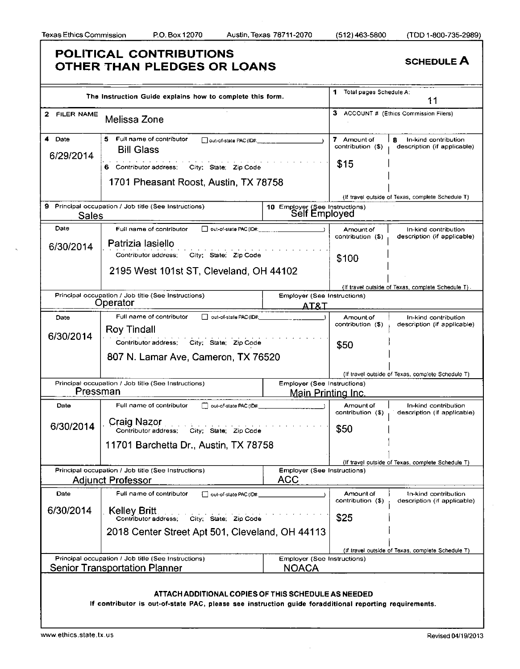|                     | The Instruction Guide explains how to complete this form.                                                                                                                  |                                                           | Total pages Schedule A:                  | 11                                                       |
|---------------------|----------------------------------------------------------------------------------------------------------------------------------------------------------------------------|-----------------------------------------------------------|------------------------------------------|----------------------------------------------------------|
| 2 FILER NAME        | Melissa Zone                                                                                                                                                               |                                                           |                                          | 3 ACCOUNT # (Ethics Commission Filers)                   |
| 4 Date<br>6/29/2014 | 5 Full name of contributor<br>□ out-of-state PAC (ID#:______<br><b>Bill Glass</b><br>6 Contributor address: City; State: Zip Code<br>1701 Pheasant Roost, Austin, TX 78758 |                                                           | 7 Amount of<br>contribution (\$)<br>\$15 | In-kind contribution<br>8<br>description (if applicable) |
|                     |                                                                                                                                                                            |                                                           |                                          |                                                          |
|                     | 9 Principal occupation / Job title (See Instructions)                                                                                                                      |                                                           |                                          | (If travel outside of Texas, complete Schedule T)        |
| <b>Sales</b>        |                                                                                                                                                                            | 10 Employer (See Instructions)<br>Self Employed           |                                          |                                                          |
| Date                | Full name of contributor<br>□ put-of-state PAC (ID#:                                                                                                                       |                                                           | Amount of                                | In-kind contribution                                     |
| 6/30/2014           | Patrizia lasiello                                                                                                                                                          |                                                           | contribution (\$)                        | description (if applicable)                              |
|                     | City; State; Zip Code<br>Contributor address:                                                                                                                              |                                                           | \$100                                    |                                                          |
|                     | 2195 West 101st ST, Cleveland, OH 44102                                                                                                                                    |                                                           |                                          |                                                          |
|                     |                                                                                                                                                                            |                                                           |                                          | (If travel outside of Texas, complete Schedule T).       |
|                     | Principal occupation / Job title (See Instructions)                                                                                                                        | <b>Employer (See Instructions)</b>                        |                                          |                                                          |
|                     | Operator                                                                                                                                                                   | <u>AT&amp;I</u>                                           |                                          |                                                          |
| Date                | Full name of contributor<br>out-of-state PAC (ID#:<br>Roy Tindall                                                                                                          |                                                           | Amount of<br>contribution (\$)           | In-kind contribution<br>description (if applicable)      |
| 6/30/2014           | Contributor address: City; State; Zip Code                                                                                                                                 |                                                           |                                          |                                                          |
|                     |                                                                                                                                                                            |                                                           | \$50                                     |                                                          |
|                     | 807 N. Lamar Ave, Cameron, TX 76520                                                                                                                                        |                                                           |                                          |                                                          |
|                     |                                                                                                                                                                            |                                                           |                                          | (If travel outside of Texas, complete Schedule T)        |
| Pressman            | Principal occupation / Job title (See Instructions)                                                                                                                        | Employer (See Instructions)<br><u> Main Printing Inc.</u> |                                          |                                                          |
|                     |                                                                                                                                                                            |                                                           |                                          |                                                          |
| Date                | Full name of contributor<br>out-of-state PAC (ID#:                                                                                                                         |                                                           | Amount of<br>contribution (\$)           | In-kind contribution<br>description (if applicable)      |
| 6/30/2014           | Craig Nazor<br>Contributor address; City; State; Zip Code                                                                                                                  |                                                           | \$50                                     |                                                          |
|                     | 11701 Barchetta Dr., Austin, TX 78758                                                                                                                                      |                                                           |                                          |                                                          |
|                     |                                                                                                                                                                            |                                                           |                                          | (If travel outside of Texas, complete Schedule T         |
|                     | Principal occupation / Job title (See Instructions)                                                                                                                        | <b>Employer (See Instructions)</b>                        |                                          |                                                          |
|                     | <b>Adjunct Professor</b>                                                                                                                                                   | <b>ACC</b>                                                |                                          |                                                          |
| Date                | Full name of contributor<br>out-of-state PAC (ID#:                                                                                                                         |                                                           | Amount of<br>contribution (\$)           | In-kind contribution<br>description (if applicable)      |
| 6/30/2014           | Kelley Britt<br>Contributor address:<br>City; State; Zip Code                                                                                                              |                                                           | \$25                                     |                                                          |
|                     | 2018 Center Street Apt 501, Cleveland, OH 44113                                                                                                                            |                                                           |                                          |                                                          |
|                     |                                                                                                                                                                            |                                                           |                                          |                                                          |
|                     | Principal occupation / Job title (See Instructions)                                                                                                                        | Employer (See Instructions)                               |                                          | (if travel outside of Texas, complete Schedule T)        |
|                     | <b>Senior Transportation Planner</b>                                                                                                                                       | <b>NOACA</b>                                              |                                          |                                                          |
|                     |                                                                                                                                                                            |                                                           |                                          |                                                          |
|                     | ATTACH ADDITIONAL COPIES OF THIS SCHEDULE AS NEEDED                                                                                                                        |                                                           |                                          |                                                          |
|                     | If contributor is out-of-state PAC, please see instruction guide foradditional reporting requirements.                                                                     |                                                           |                                          |                                                          |
|                     |                                                                                                                                                                            |                                                           |                                          |                                                          |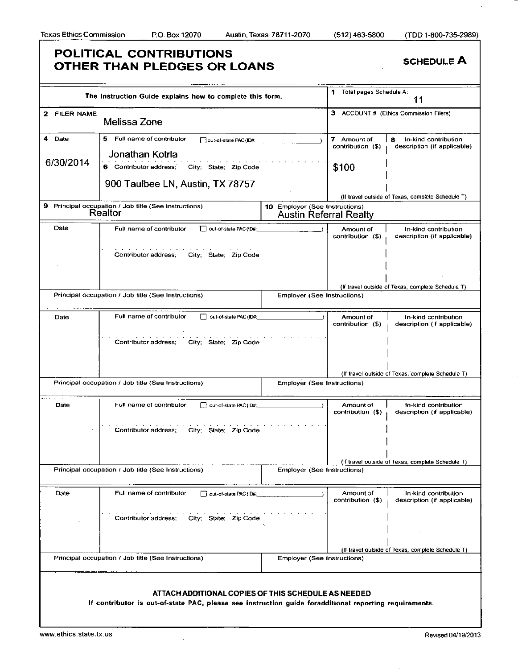| The Instruction Guide explains how to complete this form.        |                                                                                                        |                                    | Total pages Schedule A:<br>11                                   |                                                          |  |
|------------------------------------------------------------------|--------------------------------------------------------------------------------------------------------|------------------------------------|-----------------------------------------------------------------|----------------------------------------------------------|--|
| 2 FILER NAME                                                     | Melissa Zone                                                                                           |                                    |                                                                 | 3 ACCOUNT # (Ethics Commission Filers)                   |  |
| Date<br>4                                                        | 5.<br>Full name of contributor<br>out-of-state PAC (ID#:<br>Jonathan Kotrla                            |                                    | 7 Amount of<br>contribution (\$)                                | In-kind contribution<br>8<br>description (if applicable) |  |
| 6/30/2014                                                        | 6 Contributor address:<br>City: State: Zip Code                                                        |                                    | \$100                                                           |                                                          |  |
|                                                                  | 900 Taulbee LN, Austin, TX 78757                                                                       |                                    |                                                                 | (If travel outside of Texas, complete Schedule T)        |  |
| 9 Principal occupation / Job title (See Instructions)<br>Realtor |                                                                                                        |                                    | 10 Employer (See Instructions)<br><b>Austin Referral Realty</b> |                                                          |  |
| Date                                                             | out-of-state PAC (ID#:<br>Full name of contributor                                                     |                                    | Amount of<br>contribution (\$)                                  | In-kind contribution<br>description (if applicable)      |  |
|                                                                  | Contributor address;<br>City; State; Zip Code                                                          |                                    |                                                                 |                                                          |  |
|                                                                  |                                                                                                        |                                    |                                                                 | (If travel outside of Texas, complete Schedule T)        |  |
|                                                                  | Principal occupation / Job title (See Instructions)                                                    | <b>Employer (See Instructions)</b> |                                                                 |                                                          |  |
| Date                                                             | Full name of contributor<br>Out-of-state PAC (ID#:                                                     |                                    | Amount of<br>contribution (\$)                                  | In-kind contribution<br>description (if applicable)      |  |
|                                                                  | Contributor address;<br>City; State; Zip Code                                                          |                                    |                                                                 |                                                          |  |
|                                                                  |                                                                                                        |                                    |                                                                 |                                                          |  |
|                                                                  | Principal occupation / Job title (See Instructions)                                                    | <b>Employer (See Instructions)</b> |                                                                 | (If travel outside of Texas, complete Schedule T)        |  |
|                                                                  |                                                                                                        |                                    |                                                                 |                                                          |  |
| Date                                                             | Full name of contributor<br>out-of-state PAC (ID#:                                                     |                                    | Amount of<br>contribution (\$)                                  | In-kind contribution<br>description (if applicable)      |  |
|                                                                  | City: State; Zip Code<br>Contributor address;                                                          |                                    |                                                                 |                                                          |  |
|                                                                  |                                                                                                        |                                    |                                                                 | (If travel outside of Texas, complete Schedule T)        |  |
| Principal occupation / Job title (See Instructions)              |                                                                                                        | <b>Employer (See Instructions)</b> |                                                                 |                                                          |  |
| Date                                                             | Full name of contributor<br>out-of-state PAC (ID#:                                                     |                                    | Amount of<br>contribution (\$)                                  | In-kind contribution<br>description (if applicable)      |  |
|                                                                  | City: State: Zip Code<br>Contributor address:                                                          |                                    |                                                                 |                                                          |  |
|                                                                  |                                                                                                        |                                    |                                                                 | (If travel outside of Texas, complete Schedule T)        |  |
| Principal occupation / Job title (See Instructions)              |                                                                                                        | Employer (See Instructions)        |                                                                 |                                                          |  |
|                                                                  |                                                                                                        |                                    |                                                                 |                                                          |  |
|                                                                  | ATTACH ADDITIONAL COPIES OF THIS SCHEDULE AS NEEDED                                                    |                                    |                                                                 |                                                          |  |
|                                                                  | If contributor is out-of-state PAC, please see instruction guide foradditional reporting requirements. |                                    |                                                                 |                                                          |  |
|                                                                  |                                                                                                        |                                    |                                                                 |                                                          |  |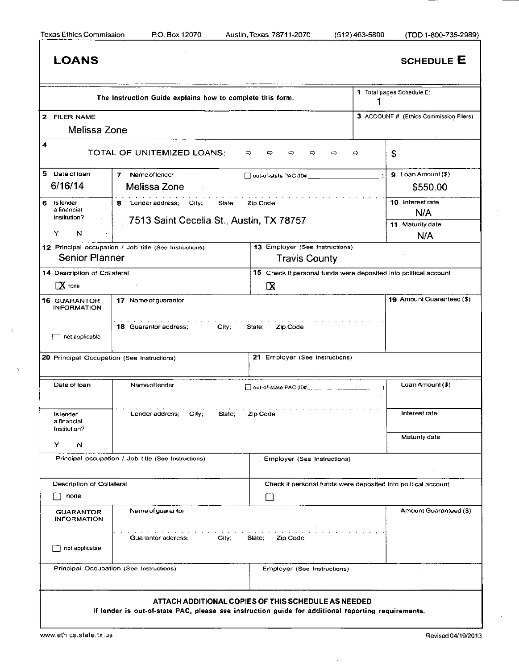### **LOANS** SCHEDULE **E** 1 Total pages Schedule E: **The Instruction Guide explains how to complete this form.**  1 2 FILER NAME 3 ACCOUNT # (Ethics Commission Filers) **Melissa Zone**  4 TOTA L O F UNITEMIZE D LOANS : o o o o o ^ \$ 5 Date of loan 7 Name of lender D out-of-state PAC (ID#: 9 Loan Amount (\$) **6/16/14 Melissa Zone \$550.00**  10 Interest rate 6 Is lender 8 Lender address; City; State; Zip Code a financial **N/A**  Institution? **7513 Saint Cecelia St., Austin, TX 78757**  11 Maturity date Y N **N/A**  13 Employer (See Instructions) 12 Principal occupation / Job title (See Instructions) **Senior Planner Travis County**  14 Description of Collateral 15 Check if personal funds were deposited into political account CX none ΓX 19 Amount Guaranteed (\$) 16 GUARANTOR 17 Name of guarantor INFORMATION 18 Guarantor address; City; State; Zip Code  $\Box$  not applicable 20 Principal Occupation (See Instructions) 21 Employer (See Instructions) Loan Amount (\$) Date of loan Name of lender  $\Box$  out-of-state PAC (ID#: Interest rate Lender address; City; State; Zip Code Is lender a financial Institution? Maturity date Y N Principal occupation / Job title (See Instructions) [2015] Employer (See Instructions) Description of Collateral Check if personal funds were deposited into political account  $\Box$  none  $\Box$ GUARANTOR Name of guarantor Amount Guaranteed (\$) INFORMATION Guarantor address; City; State; Zip Code  $\Box$  not applicable Principal Occupation (See Instructions) Employer (See Instructions) **ATTAC H ADDITIONAL COPIE S O F THIS SCHEDUL E A S NEEDE D If lender is out-of-state PAC, please see instruction guide for additional reporting requirements.**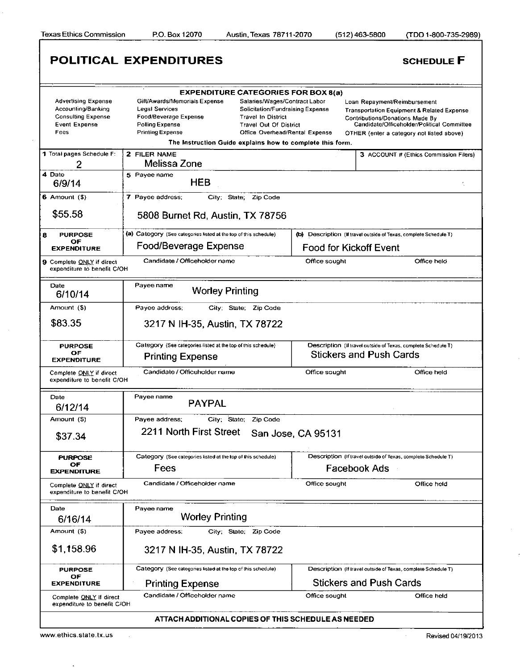Texas Ethics Commission P.O. Box 12070 Austin, Texas 78711 -2070 (512) 463-5800 (TDD 1 -800-735-2989)

|                                                                                                               | <b>POLITICAL EXPENDITURES</b>                                                                                                                                                                                                                                                                                                                                                                                        |                                | <b>SCHEDULE F</b>                                                                                                                                                                                                   |  |  |
|---------------------------------------------------------------------------------------------------------------|----------------------------------------------------------------------------------------------------------------------------------------------------------------------------------------------------------------------------------------------------------------------------------------------------------------------------------------------------------------------------------------------------------------------|--------------------------------|---------------------------------------------------------------------------------------------------------------------------------------------------------------------------------------------------------------------|--|--|
|                                                                                                               |                                                                                                                                                                                                                                                                                                                                                                                                                      |                                |                                                                                                                                                                                                                     |  |  |
| <b>Advertising Expense</b><br>Accounting/Banking<br><b>Consulting Expense</b><br><b>Event Expense</b><br>Fees | <b>EXPENDITURE CATEGORIES FOR BOX 8(a)</b><br>Gift/Awards/Memorials Expense<br>Salaries/Wages/Contract Labor<br><b>Legal Services</b><br>Solicitation/Fundraising Expense<br>Food/Beverage Expense<br><b>Travel In District</b><br>Polling Expense<br><b>Travel Out Of District</b><br><b>Printing Expense</b><br><b>Office Overhead/Rental Expense</b><br>The Instruction Guide explains how to complete this form. |                                | Loan Repayment/Reimbursement<br><b>Transportation Equipment &amp; Related Expense</b><br>Contributions/Donations Made By<br>Candidate/Officeholder/Political Committee<br>OTHER (enter a category not listed above) |  |  |
| 1 Total pages Schedule F:                                                                                     | 2 FILER NAME                                                                                                                                                                                                                                                                                                                                                                                                         |                                | 3 ACCOUNT # (Ethics Commission Filers)                                                                                                                                                                              |  |  |
| 2                                                                                                             | Melissa Zone                                                                                                                                                                                                                                                                                                                                                                                                         |                                |                                                                                                                                                                                                                     |  |  |
| 4 Date<br>6/9/14                                                                                              | 5 Payee name<br><b>HEB</b>                                                                                                                                                                                                                                                                                                                                                                                           |                                |                                                                                                                                                                                                                     |  |  |
| $6$ Amount $(9)$                                                                                              | 7 Payee address;<br>City; State; Zip Code                                                                                                                                                                                                                                                                                                                                                                            |                                |                                                                                                                                                                                                                     |  |  |
| \$55.58                                                                                                       | 5808 Burnet Rd, Austin, TX 78756                                                                                                                                                                                                                                                                                                                                                                                     |                                |                                                                                                                                                                                                                     |  |  |
| <b>PURPOSE</b><br>8                                                                                           | (a) Category (See categories listed at the top of this schedule)                                                                                                                                                                                                                                                                                                                                                     |                                | (b) Description (If travel outside of Texas, complete Schedule T)                                                                                                                                                   |  |  |
| OF<br><b>EXPENDITURE</b>                                                                                      | Food/Beverage Expense                                                                                                                                                                                                                                                                                                                                                                                                | <b>Food for Kickoff Event</b>  |                                                                                                                                                                                                                     |  |  |
| 9 Complete ONLY if direct<br>expenditure to benefit C/OH                                                      | Candidate / Officeholder name                                                                                                                                                                                                                                                                                                                                                                                        | Office sought                  | Office held                                                                                                                                                                                                         |  |  |
| Date<br>6/10/14                                                                                               | Payee name<br><b>Worley Printing</b>                                                                                                                                                                                                                                                                                                                                                                                 |                                |                                                                                                                                                                                                                     |  |  |
| Amount (\$)                                                                                                   | Payee address;<br>City; State; Zip Code                                                                                                                                                                                                                                                                                                                                                                              |                                |                                                                                                                                                                                                                     |  |  |
| \$83.35                                                                                                       | 3217 N IH-35, Austin, TX 78722                                                                                                                                                                                                                                                                                                                                                                                       |                                |                                                                                                                                                                                                                     |  |  |
| <b>PURPOSE</b><br>ОF<br><b>EXPENDITURE</b>                                                                    | Category (See categories listed at the top of this schedule)<br><b>Printing Expense</b>                                                                                                                                                                                                                                                                                                                              |                                | Description (If travel outside of Texas, complete Schedule T)<br><b>Stickers and Push Cards</b>                                                                                                                     |  |  |
| Complete ONLY if direct<br>expenditure to benefit C/OH                                                        | Candidate / Officeholder name                                                                                                                                                                                                                                                                                                                                                                                        | Office sought                  | Office held                                                                                                                                                                                                         |  |  |
| Date<br>6/12/14                                                                                               | Payee name<br><b>PAYPAL</b>                                                                                                                                                                                                                                                                                                                                                                                          |                                |                                                                                                                                                                                                                     |  |  |
| Arnount (\$)<br>\$37.34                                                                                       | Payee address:<br>City; State; Zip Code<br>2211 North First Street                                                                                                                                                                                                                                                                                                                                                   | San Jose, CA 95131             |                                                                                                                                                                                                                     |  |  |
|                                                                                                               |                                                                                                                                                                                                                                                                                                                                                                                                                      |                                |                                                                                                                                                                                                                     |  |  |
| <b>PURPOSE</b><br>OF<br><b>EXPENDITURE</b>                                                                    | Description (If travel outside of Texas, complete Schedule T)<br>Category (See categories listed at the top of this schedule)<br>Facebook Ads<br>Fees                                                                                                                                                                                                                                                                |                                |                                                                                                                                                                                                                     |  |  |
| Complete ONLY if direct<br>expenditure to benefit C/OH                                                        | Candidate / Officeholder name                                                                                                                                                                                                                                                                                                                                                                                        | Office sought                  | Office held                                                                                                                                                                                                         |  |  |
| Date<br>6/16/14                                                                                               | Payee name<br><b>Worley Printing</b>                                                                                                                                                                                                                                                                                                                                                                                 |                                |                                                                                                                                                                                                                     |  |  |
| Amount (\$)                                                                                                   | Payee address;<br>City; State; Zip Code                                                                                                                                                                                                                                                                                                                                                                              |                                |                                                                                                                                                                                                                     |  |  |
| \$1,158.96                                                                                                    | 3217 N IH-35, Austin, TX 78722                                                                                                                                                                                                                                                                                                                                                                                       |                                |                                                                                                                                                                                                                     |  |  |
| <b>PURPOSE</b>                                                                                                | Category (See categories listed at the top of this schedule)<br>Description (If travel outside of Texas, complete Schedule T)                                                                                                                                                                                                                                                                                        |                                |                                                                                                                                                                                                                     |  |  |
| OF<br><b>EXPENDITURE</b>                                                                                      | <b>Printing Expense</b>                                                                                                                                                                                                                                                                                                                                                                                              | <b>Stickers and Push Cards</b> |                                                                                                                                                                                                                     |  |  |
| Complete ONLY if direct<br>expenditure to benefit C/OH                                                        | Candidate / Officeholder name                                                                                                                                                                                                                                                                                                                                                                                        | Office sought                  | Office held                                                                                                                                                                                                         |  |  |
|                                                                                                               | ATTACH ADDITIONAL COPIES OF THIS SCHEDULE AS NEEDED                                                                                                                                                                                                                                                                                                                                                                  |                                |                                                                                                                                                                                                                     |  |  |

www.ethics.state.tx.us Revised 04/19/2013

 $\cdot$ 

l.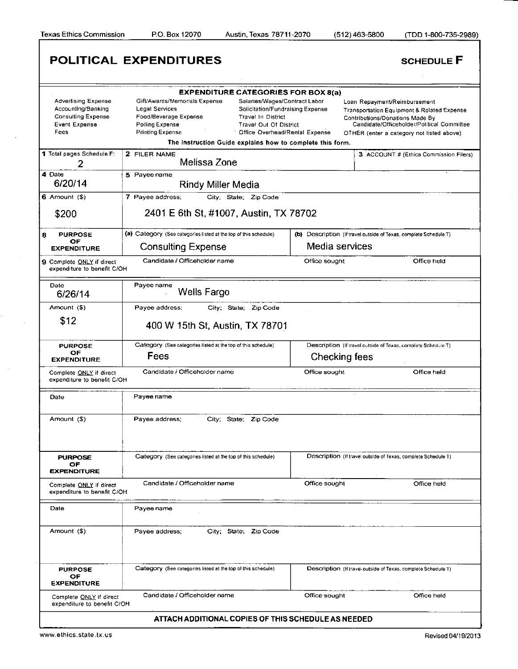**Texas Ethics Commission P.O. Box 12070 Austin, Texas 78711-2070 (512)463-5800 (TDD 1-800-735-2989)** 

|                                                                                                        | <b>POLITICAL EXPENDITURES</b>                                                                                                                                                                                                                                                                                                                            |                | <b>SCHEDULE F</b>                                                                                                                                                                                                   |
|--------------------------------------------------------------------------------------------------------|----------------------------------------------------------------------------------------------------------------------------------------------------------------------------------------------------------------------------------------------------------------------------------------------------------------------------------------------------------|----------------|---------------------------------------------------------------------------------------------------------------------------------------------------------------------------------------------------------------------|
|                                                                                                        | <b>EXPENDITURE CATEGORIES FOR BOX 8(a)</b>                                                                                                                                                                                                                                                                                                               |                |                                                                                                                                                                                                                     |
| <b>Advertising Expense</b><br>Accounting/Banking<br><b>Consulting Expense</b><br>Event Expense<br>Fees | Gift/Awards/Memorials Expense<br>Salaries/Wages/Contract Labor<br>Legal Services<br>Solicitation/Fundraising Expense<br>Food/Beverage Expense<br><b>Travel In District</b><br>Polling Expense<br><b>Travel Out Of District</b><br><b>Printing Expense</b><br>Office Overhead/Rental Expense<br>The Instruction Guide explains how to complete this form. |                | Loan Repayment/Reimbursement<br><b>Transportation Equipment &amp; Related Expense</b><br>Contributions/Donations Made By<br>Candidate/Officeholder/Political Committee<br>OTHER (enter a category not listed above) |
| 1 Total pages Schedule F:                                                                              | 2 FILER NAME                                                                                                                                                                                                                                                                                                                                             |                |                                                                                                                                                                                                                     |
| 2                                                                                                      | Melissa Zone                                                                                                                                                                                                                                                                                                                                             |                | 3 ACCOUNT # (Ethics Commission Filers)                                                                                                                                                                              |
| 4 Date<br>6/20/14                                                                                      | 5 Payee name<br><b>Rindy Miller Media</b>                                                                                                                                                                                                                                                                                                                |                |                                                                                                                                                                                                                     |
| $6$ Amount $(5)$                                                                                       | 7 Payee address;<br>City; State; Zip Code                                                                                                                                                                                                                                                                                                                |                |                                                                                                                                                                                                                     |
| \$200                                                                                                  | 2401 E 6th St, #1007, Austin, TX 78702                                                                                                                                                                                                                                                                                                                   |                |                                                                                                                                                                                                                     |
| 8<br><b>PURPOSE</b>                                                                                    | (a) Category (See categories listed at the top of this schedule)                                                                                                                                                                                                                                                                                         |                | (b) Description (If travel outside of Texas, complete Schedule T)                                                                                                                                                   |
| OF<br><b>EXPENDITURE</b>                                                                               | <b>Consulting Expense</b>                                                                                                                                                                                                                                                                                                                                | Media services |                                                                                                                                                                                                                     |
| 9 Complete ONLY if direct<br>expenditure to benefit C/OH                                               | Candidate / Officeholder name                                                                                                                                                                                                                                                                                                                            | Office sought  | Office held                                                                                                                                                                                                         |
| Date<br>6/26/14                                                                                        | Payee name<br>Wells Fargo                                                                                                                                                                                                                                                                                                                                |                |                                                                                                                                                                                                                     |
| Amount (\$)                                                                                            | Payee address;<br>City; State; Zip Code                                                                                                                                                                                                                                                                                                                  |                |                                                                                                                                                                                                                     |
| \$12                                                                                                   | 400 W 15th St, Austin, TX 78701                                                                                                                                                                                                                                                                                                                          |                |                                                                                                                                                                                                                     |
| <b>PURPOSE</b>                                                                                         | Category (See categories listed at the top of this schedule)                                                                                                                                                                                                                                                                                             |                | Description (If travel outside of Texas, complete Schedule T)                                                                                                                                                       |
| OF<br><b>EXPENDITURE</b>                                                                               | Fees                                                                                                                                                                                                                                                                                                                                                     | Checking fees  |                                                                                                                                                                                                                     |
| Complete ONLY if direct<br>expenditure to benefit C/OH                                                 | Candidate / Officeholder name                                                                                                                                                                                                                                                                                                                            | Office sought  | Office held                                                                                                                                                                                                         |
| Date                                                                                                   | Payee name                                                                                                                                                                                                                                                                                                                                               |                |                                                                                                                                                                                                                     |
| Amount (\$)                                                                                            | Payee address;<br>City; State;<br>Zip Code                                                                                                                                                                                                                                                                                                               |                |                                                                                                                                                                                                                     |
| <b>PURPOSE</b><br>OF.<br><b>EXPENDITURE</b>                                                            | Category (See categories listed at the top of this schedule)                                                                                                                                                                                                                                                                                             |                | Description (If travel outside of Texas, complete Schedule T)                                                                                                                                                       |
| Complete ONLY if direct<br>expenditure to benefit C/OH                                                 | Candidate / Officeholder name                                                                                                                                                                                                                                                                                                                            | Office sought  | Office held                                                                                                                                                                                                         |
| Date                                                                                                   | Payee name                                                                                                                                                                                                                                                                                                                                               |                |                                                                                                                                                                                                                     |
| Amount (\$)                                                                                            | Payee address:<br>City; State; Zip Code                                                                                                                                                                                                                                                                                                                  |                |                                                                                                                                                                                                                     |
| <b>PURPOSE</b><br>OF<br><b>EXPENDITURE</b>                                                             | Category (See categories listed at the top of this schedule)                                                                                                                                                                                                                                                                                             |                | Description (If travel outside of Texas, complete Schedule T)                                                                                                                                                       |
| Complete ONLY if direct<br>expenditure to benefit C/OH                                                 | Candidate / Officeholder name                                                                                                                                                                                                                                                                                                                            | Office sought  | Office held                                                                                                                                                                                                         |
|                                                                                                        | ATTACH ADDITIONAL COPIES OF THIS SCHEDULE AS NEEDED                                                                                                                                                                                                                                                                                                      |                |                                                                                                                                                                                                                     |